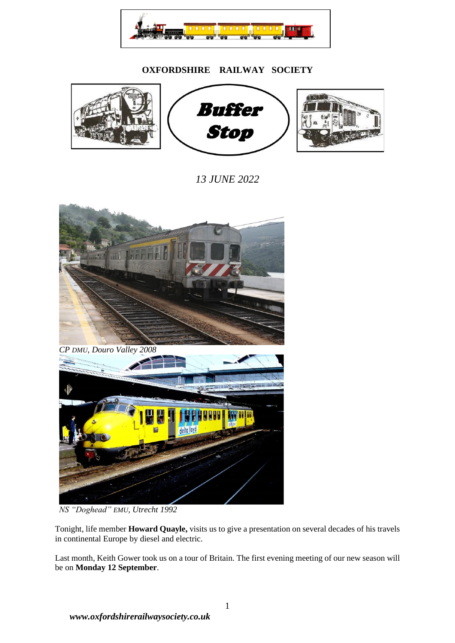

## **OXFORDSHIRE RAILWAY SOCIETY**



*13 JUNE 2022*



*NS "Doghead" EMU, Utrecht 1992*

Tonight, life member **Howard Quayle,** visits us to give a presentation on several decades of his travels in continental Europe by diesel and electric.

Last month, Keith Gower took us on a tour of Britain. The first evening meeting of our new season will be on **Monday 12 September**.